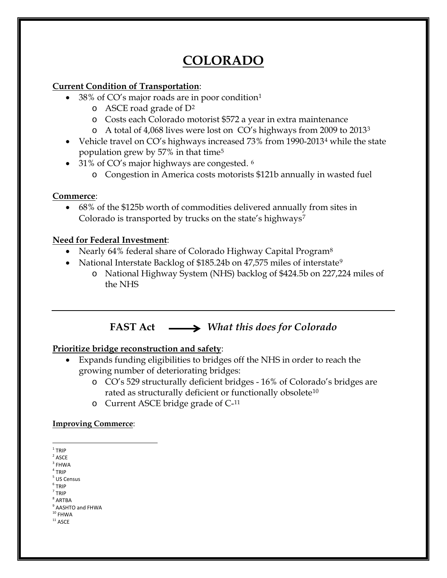# **COLORADO**

### **Current Condition of Transportation**:

- 38% of CO's major roads are in poor conditio[n1](#page-0-0)
	- o ASCE road grade of D[2](#page-0-1)
	- o Costs each Colorado motorist \$572 a year in extra maintenance
	- o A total of 4,068 lives were lost on CO's highways from 2009 to 2013[3](#page-0-2)
- Vehicle travel on CO's highways increased 73% from 1990-2013[4](#page-0-3) while the state population grew by 57% in that time[5](#page-0-4)
- 31% of CO's major highways are congested. <sup>[6](#page-0-5)</sup>
	- o Congestion in America costs motorists \$121b annually in wasted fuel

### **Commerce**:

• 68% of the \$125b worth of commodities delivered annually from sites in Colorado is transported by trucks on the state's highways<sup>[7](#page-0-6)</sup>

### **Need for Federal Investment**:

- Nearly 64% federal share of Colorado Highway Capital Program<sup>[8](#page-0-7)</sup>
- National Interstate Backlog of \$185.24b on 47,575 miles of interstate<sup>[9](#page-0-8)</sup>
	- o National Highway System (NHS) backlog of \$424.5b on 227,224 miles of the NHS

## **FAST Act** *What this does for Colorado*

### **Prioritize bridge reconstruction and safety**:

- Expands funding eligibilities to bridges off the NHS in order to reach the growing number of deteriorating bridges:
	- o CO's 529 structurally deficient bridges 16% of Colorado's bridges are rated as structurally deficient or functionally obsolete<sup>[10](#page-0-9)</sup>
	- o Current ASCE bridge grade of C-[11](#page-0-10)

#### **Improving Commerce**:

 $1$  TRIP

<span id="page-0-1"></span><span id="page-0-0"></span> $2$  ASCE

<span id="page-0-2"></span> $3$  FHWA

<span id="page-0-3"></span> $4$  TRIP

<span id="page-0-4"></span><sup>5</sup> US Census

<span id="page-0-5"></span><sup>6</sup> TRIP

<span id="page-0-7"></span><span id="page-0-6"></span> $<sup>7</sup>$  TRIP</sup>  $8$  ARTBA

<sup>9</sup> AASHTO and FHWA

<span id="page-0-8"></span> $10$  FHWA

<span id="page-0-10"></span><span id="page-0-9"></span> $^{\rm 11}$  ASCE